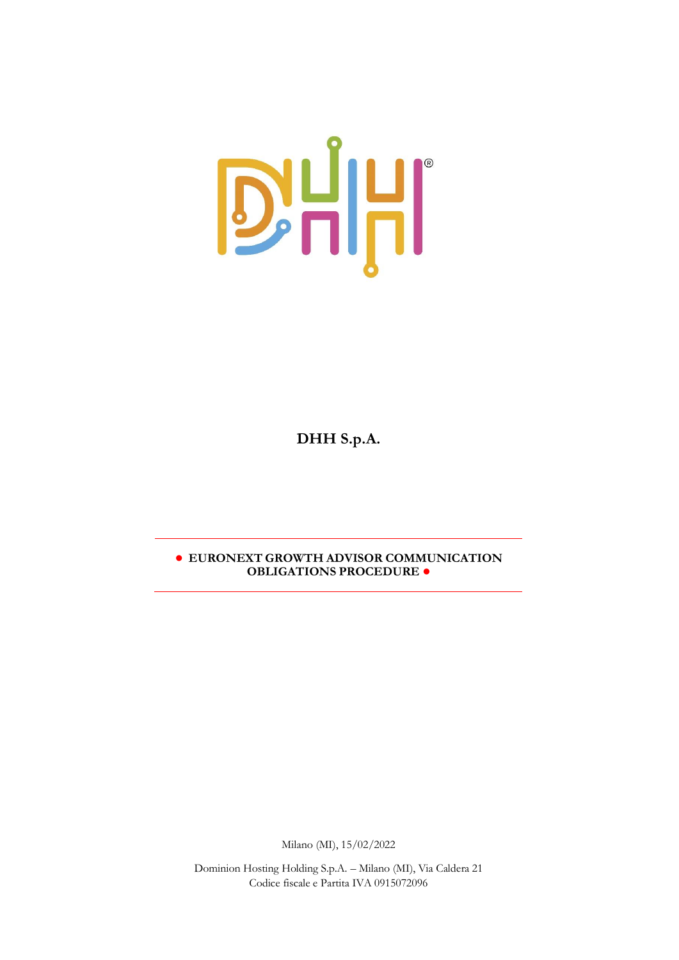

**DHH S.p.A.** 

**● EURONEXT GROWTH ADVISOR COMMUNICATION OBLIGATIONS PROCEDURE ●**

Milano (MI), 15/02/2022

Dominion Hosting Holding S.p.A. – Milano (MI), Via Caldera 21 Codice fiscale e Partita IVA 0915072096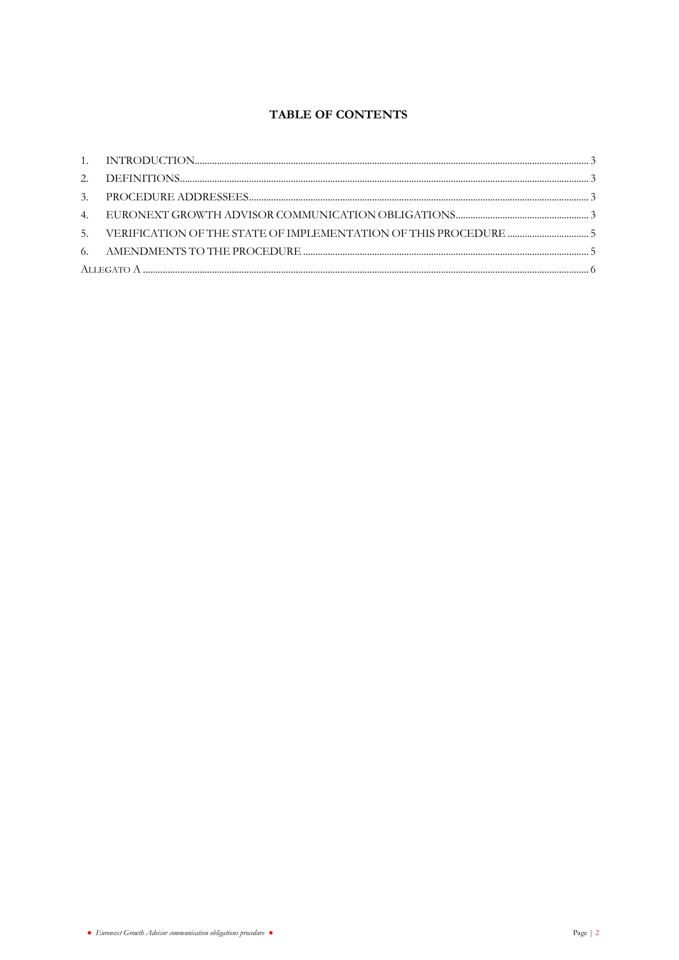# **TABLE OF CONTENTS**

|  | 5. VERIFICATION OF THE STATE OF IMPLEMENTATION OF THIS PROCEDURE  5 |  |  |
|--|---------------------------------------------------------------------|--|--|
|  |                                                                     |  |  |
|  |                                                                     |  |  |
|  |                                                                     |  |  |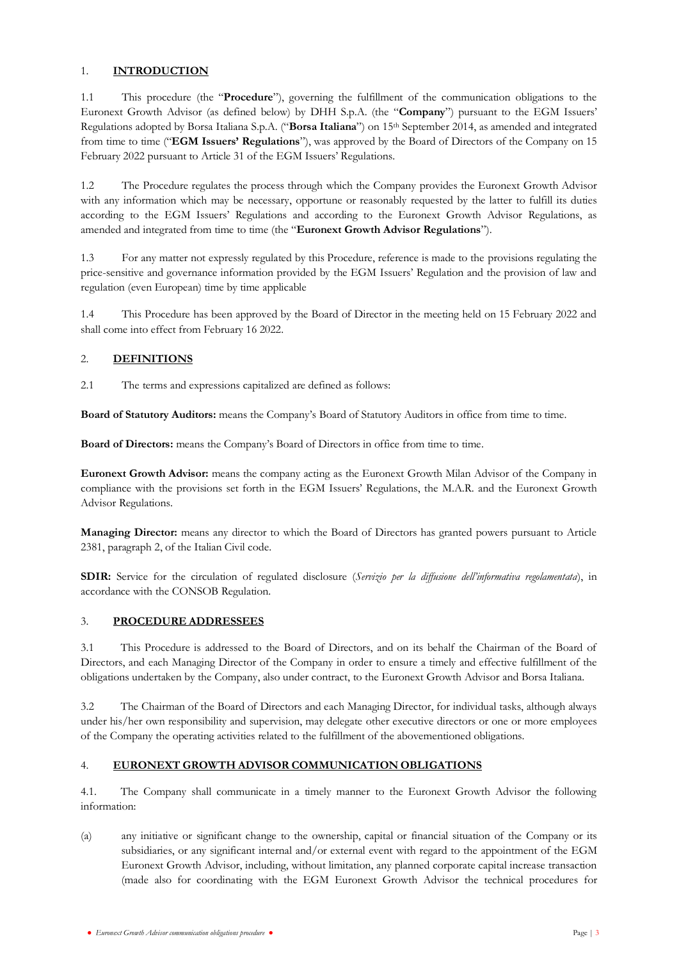## <span id="page-2-0"></span>1. **INTRODUCTION**

1.1 This procedure (the "**Procedure**"), governing the fulfillment of the communication obligations to the Euronext Growth Advisor (as defined below) by DHH S.p.A. (the "**Company**") pursuant to the EGM Issuers' Regulations adopted by Borsa Italiana S.p.A. ("**Borsa Italiana**") on 15th September 2014, as amended and integrated from time to time ("**EGM Issuers' Regulations**"), was approved by the Board of Directors of the Company on 15 February 2022 pursuant to Article 31 of the EGM Issuers' Regulations.

1.2 The Procedure regulates the process through which the Company provides the Euronext Growth Advisor with any information which may be necessary, opportune or reasonably requested by the latter to fulfill its duties according to the EGM Issuers' Regulations and according to the Euronext Growth Advisor Regulations, as amended and integrated from time to time (the "**Euronext Growth Advisor Regulations**").

1.3 For any matter not expressly regulated by this Procedure, reference is made to the provisions regulating the price-sensitive and governance information provided by the EGM Issuers' Regulation and the provision of law and regulation (even European) time by time applicable

1.4 This Procedure has been approved by the Board of Director in the meeting held on 15 February 2022 and shall come into effect from February 16 2022.

## <span id="page-2-1"></span>2. **DEFINITIONS**

2.1 The terms and expressions capitalized are defined as follows:

**Board of Statutory Auditors:** means the Company's Board of Statutory Auditors in office from time to time.

**Board of Directors:** means the Company's Board of Directors in office from time to time.

**Euronext Growth Advisor:** means the company acting as the Euronext Growth Milan Advisor of the Company in compliance with the provisions set forth in the EGM Issuers' Regulations, the M.A.R. and the Euronext Growth Advisor Regulations.

**Managing Director:** means any director to which the Board of Directors has granted powers pursuant to Article 2381, paragraph 2, of the Italian Civil code.

**SDIR:** Service for the circulation of regulated disclosure (*Servizio per la diffusione dell'informativa regolamentata*), in accordance with the CONSOB Regulation.

## <span id="page-2-2"></span>3. **PROCEDURE ADDRESSEES**

3.1 This Procedure is addressed to the Board of Directors, and on its behalf the Chairman of the Board of Directors, and each Managing Director of the Company in order to ensure a timely and effective fulfillment of the obligations undertaken by the Company, also under contract, to the Euronext Growth Advisor and Borsa Italiana.

3.2 The Chairman of the Board of Directors and each Managing Director, for individual tasks, although always under his/her own responsibility and supervision, may delegate other executive directors or one or more employees of the Company the operating activities related to the fulfillment of the abovementioned obligations.

## <span id="page-2-3"></span>4. **EURONEXT GROWTH ADVISOR COMMUNICATION OBLIGATIONS**

4.1. The Company shall communicate in a timely manner to the Euronext Growth Advisor the following information:

(a) any initiative or significant change to the ownership, capital or financial situation of the Company or its subsidiaries, or any significant internal and/or external event with regard to the appointment of the EGM Euronext Growth Advisor, including, without limitation, any planned corporate capital increase transaction (made also for coordinating with the EGM Euronext Growth Advisor the technical procedures for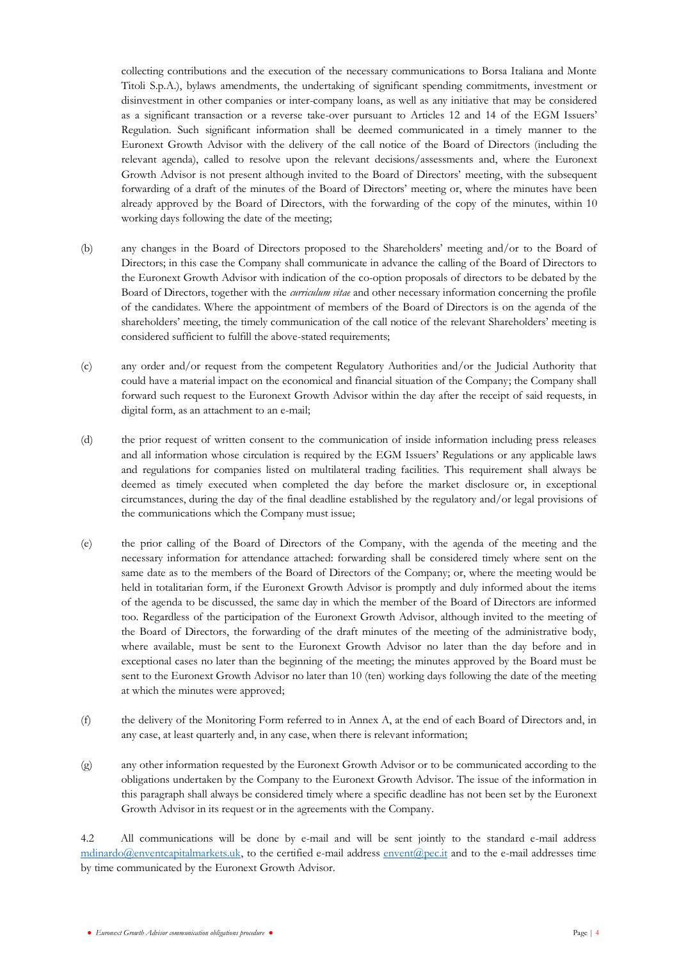collecting contributions and the execution of the necessary communications to Borsa Italiana and Monte Titoli S.p.A.), bylaws amendments, the undertaking of significant spending commitments, investment or disinvestment in other companies or inter-company loans, as well as any initiative that may be considered as a significant transaction or a reverse take-over pursuant to Articles 12 and 14 of the EGM Issuers' Regulation. Such significant information shall be deemed communicated in a timely manner to the Euronext Growth Advisor with the delivery of the call notice of the Board of Directors (including the relevant agenda), called to resolve upon the relevant decisions/assessments and, where the Euronext Growth Advisor is not present although invited to the Board of Directors' meeting, with the subsequent forwarding of a draft of the minutes of the Board of Directors' meeting or, where the minutes have been already approved by the Board of Directors, with the forwarding of the copy of the minutes, within 10 working days following the date of the meeting;

- (b) any changes in the Board of Directors proposed to the Shareholders' meeting and/or to the Board of Directors; in this case the Company shall communicate in advance the calling of the Board of Directors to the Euronext Growth Advisor with indication of the co-option proposals of directors to be debated by the Board of Directors, together with the *curriculum vitae* and other necessary information concerning the profile of the candidates. Where the appointment of members of the Board of Directors is on the agenda of the shareholders' meeting, the timely communication of the call notice of the relevant Shareholders' meeting is considered sufficient to fulfill the above-stated requirements;
- (c) any order and/or request from the competent Regulatory Authorities and/or the Judicial Authority that could have a material impact on the economical and financial situation of the Company; the Company shall forward such request to the Euronext Growth Advisor within the day after the receipt of said requests, in digital form, as an attachment to an e-mail;
- (d) the prior request of written consent to the communication of inside information including press releases and all information whose circulation is required by the EGM Issuers' Regulations or any applicable laws and regulations for companies listed on multilateral trading facilities. This requirement shall always be deemed as timely executed when completed the day before the market disclosure or, in exceptional circumstances, during the day of the final deadline established by the regulatory and/or legal provisions of the communications which the Company must issue;
- (e) the prior calling of the Board of Directors of the Company, with the agenda of the meeting and the necessary information for attendance attached: forwarding shall be considered timely where sent on the same date as to the members of the Board of Directors of the Company; or, where the meeting would be held in totalitarian form, if the Euronext Growth Advisor is promptly and duly informed about the items of the agenda to be discussed, the same day in which the member of the Board of Directors are informed too. Regardless of the participation of the Euronext Growth Advisor, although invited to the meeting of the Board of Directors, the forwarding of the draft minutes of the meeting of the administrative body, where available, must be sent to the Euronext Growth Advisor no later than the day before and in exceptional cases no later than the beginning of the meeting; the minutes approved by the Board must be sent to the Euronext Growth Advisor no later than 10 (ten) working days following the date of the meeting at which the minutes were approved;
- (f) the delivery of the Monitoring Form referred to in Annex A, at the end of each Board of Directors and, in any case, at least quarterly and, in any case, when there is relevant information;
- (g) any other information requested by the Euronext Growth Advisor or to be communicated according to the obligations undertaken by the Company to the Euronext Growth Advisor. The issue of the information in this paragraph shall always be considered timely where a specific deadline has not been set by the Euronext Growth Advisor in its request or in the agreements with the Company.

4.2 All communications will be done by e-mail and will be sent jointly to the standard e-mail address [mdinardo@enventcapitalmarkets.uk,](mailto:mdinardo@enventcapitalmarkets.uk) to the certified e-mail address [envent@pec.it](mailto:envent@pec.it) and to the e-mail addresses time by time communicated by the Euronext Growth Advisor.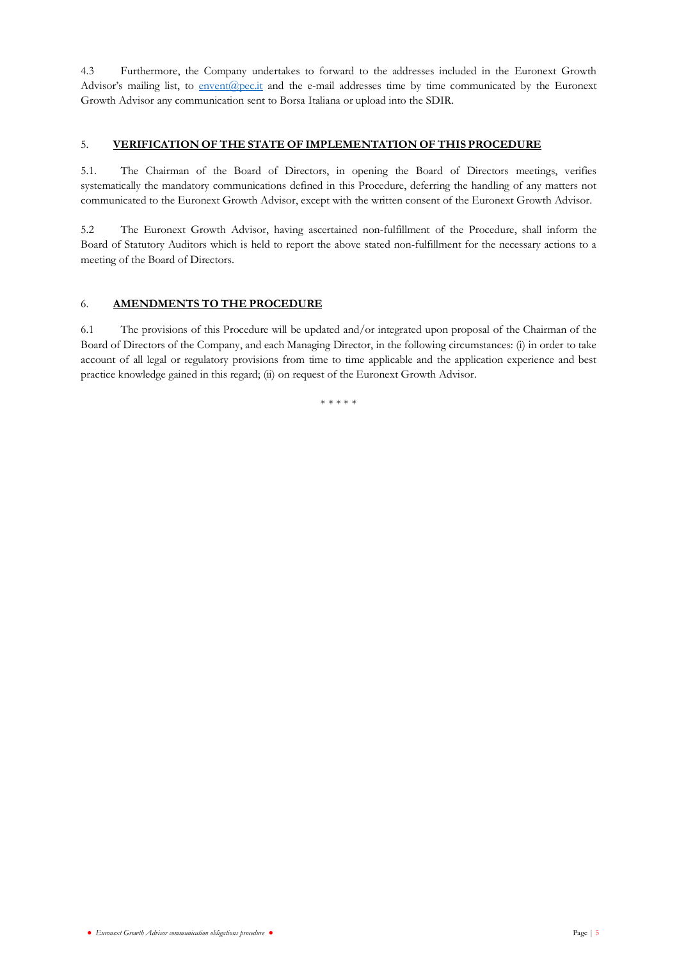4.3 Furthermore, the Company undertakes to forward to the addresses included in the Euronext Growth Advisor's mailing list, to [envent@pec.it](mailto:envent@pec.it) and the e-mail addresses time by time communicated by the Euronext Growth Advisor any communication sent to Borsa Italiana or upload into the SDIR.

#### <span id="page-4-0"></span>5. **VERIFICATION OF THE STATE OF IMPLEMENTATION OF THIS PROCEDURE**

5.1. The Chairman of the Board of Directors, in opening the Board of Directors meetings, verifies systematically the mandatory communications defined in this Procedure, deferring the handling of any matters not communicated to the Euronext Growth Advisor, except with the written consent of the Euronext Growth Advisor.

5.2 The Euronext Growth Advisor, having ascertained non-fulfillment of the Procedure, shall inform the Board of Statutory Auditors which is held to report the above stated non-fulfillment for the necessary actions to a meeting of the Board of Directors.

## <span id="page-4-1"></span>6. **AMENDMENTS TO THE PROCEDURE**

6.1 The provisions of this Procedure will be updated and/or integrated upon proposal of the Chairman of the Board of Directors of the Company, and each Managing Director, in the following circumstances: (i) in order to take account of all legal or regulatory provisions from time to time applicable and the application experience and best practice knowledge gained in this regard; (ii) on request of the Euronext Growth Advisor.

\* \* \* \* \*